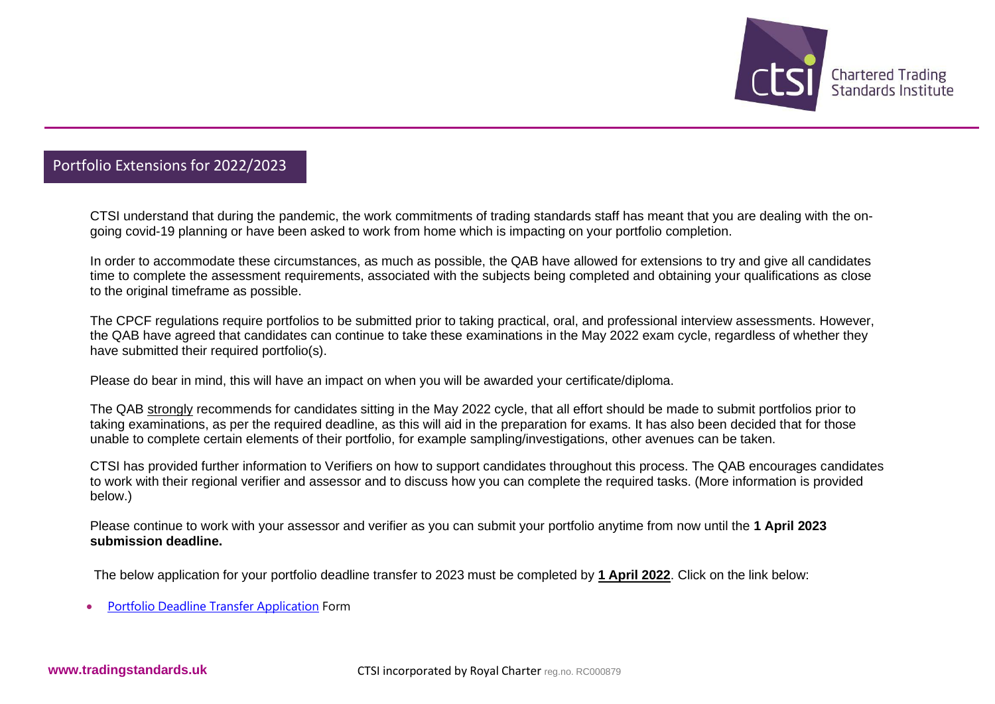

## Portfolio Extensions for 2022/2023

CTSI understand that during the pandemic, the work commitments of trading standards staff has meant that you are dealing with the ongoing covid-19 planning or have been asked to work from home which is impacting on your portfolio completion.

In order to accommodate these circumstances, as much as possible, the QAB have allowed for extensions to try and give all candidates time to complete the assessment requirements, associated with the subjects being completed and obtaining your qualifications as close to the original timeframe as possible.

The CPCF regulations require portfolios to be submitted prior to taking practical, oral, and professional interview assessments. However, the QAB have agreed that candidates can continue to take these examinations in the May 2022 exam cycle, regardless of whether they have submitted their required portfolio(s).

Please do bear in mind, this will have an impact on when you will be awarded your certificate/diploma.

The QAB strongly recommends for candidates sitting in the May 2022 cycle, that all effort should be made to submit portfolios prior to taking examinations, as per the required deadline, as this will aid in the preparation for exams. It has also been decided that for those unable to complete certain elements of their portfolio, for example sampling/investigations, other avenues can be taken.

CTSI has provided further information to Verifiers on how to support candidates throughout this process. The QAB encourages candidates to work with their regional verifier and assessor and to discuss how you can complete the required tasks. (More information is provided below.)

Please continue to work with your assessor and verifier as you can submit your portfolio anytime from now until the **1 April 2023 submission deadline.**

The below application for your portfolio deadline transfer to 2023 must be completed by **1 April 2022**. Click on the link below:

• Portfolio Deadline Transfer [Application](https://forms.office.com/Pages/ResponsePage.aspx?id=JcZ3AACdjUuDkQXl_2z1Xh0m3Fq9VMZBu0F9SSoqmvZUMTdZTFRTSVlDR1VTMkg3SjYxRVNHTThIMSQlQCN0PWcu) Form